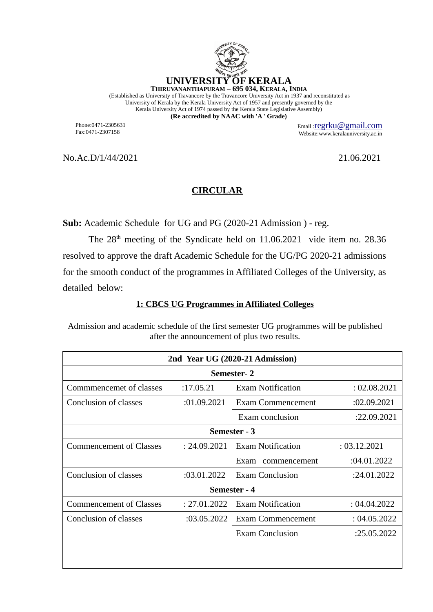

(Established as University of Travancore by the Travancore University Act in 1937 and reconstituted as University of Kerala by the Kerala University Act of 1957 and presently governed by the Kerala University Act of 1974 passed by the Kerala State Legislative Assembly) **(Re accredited by NAAC with 'A ' Grade)**

Phone:0471-2305631 Fax:0471-2307158

Email :[regrku@gmail.com](mailto:regrku@gmail.com) Website:www.keralauniversity.ac.in

No.Ac.D/1/44/2021 21.06.2021

## **CIRCULAR**

**Sub:** Academic Schedule for UG and PG (2020-21 Admission ) - reg.

The  $28<sup>th</sup>$  meeting of the Syndicate held on 11.06.2021 vide item no. 28.36 resolved to approve the draft Academic Schedule for the UG/PG 2020-21 admissions for the smooth conduct of the programmes in Affiliated Colleges of the University, as detailed below:

## **1: CBCS UG Programmes in Affiliated Colleges**

Admission and academic schedule of the first semester UG programmes will be published after the announcement of plus two results.

| 2nd Year UG (2020-21 Admission) |              |                          |              |  |  |  |
|---------------------------------|--------------|--------------------------|--------------|--|--|--|
| Semester-2                      |              |                          |              |  |  |  |
| Commmencemet of classes         | :17.05.21    | <b>Exam Notification</b> | : 02.08.2021 |  |  |  |
| Conclusion of classes           | :01.09.2021  | <b>Exam Commencement</b> | :02.09.2021  |  |  |  |
|                                 |              | Exam conclusion          | :22.09.2021  |  |  |  |
| Semester - 3                    |              |                          |              |  |  |  |
| <b>Commencement of Classes</b>  | : 24.09.2021 | <b>Exam Notification</b> | : 03.12.2021 |  |  |  |
|                                 |              | Exam<br>commencement     | :04.01.2022  |  |  |  |
| Conclusion of classes           | :03.01.2022  | <b>Exam Conclusion</b>   | :24.01.2022  |  |  |  |
| Semester - 4                    |              |                          |              |  |  |  |
| <b>Commencement of Classes</b>  | : 27.01.2022 | <b>Exam Notification</b> | : 04.04.2022 |  |  |  |
| Conclusion of classes           | :03.05.2022  | <b>Exam Commencement</b> | : 04.05.2022 |  |  |  |
|                                 |              | <b>Exam Conclusion</b>   | :25.05.2022  |  |  |  |
|                                 |              |                          |              |  |  |  |
|                                 |              |                          |              |  |  |  |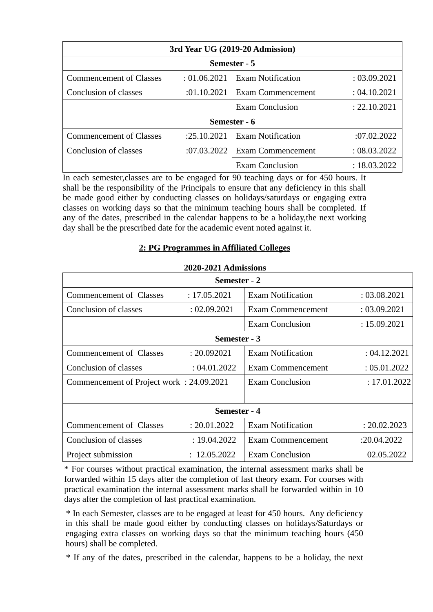| 3rd Year UG (2019-20 Admission) |              |                          |              |  |  |  |
|---------------------------------|--------------|--------------------------|--------------|--|--|--|
| Semester - 5                    |              |                          |              |  |  |  |
| <b>Commencement of Classes</b>  | : 01.06.2021 | <b>Exam Notification</b> | : 03.09.2021 |  |  |  |
| Conclusion of classes           | :01.10.2021  | Exam Commencement        | : 04.10.2021 |  |  |  |
|                                 |              | <b>Exam Conclusion</b>   | : 22.10.2021 |  |  |  |
| Semester - 6                    |              |                          |              |  |  |  |
| <b>Commencement of Classes</b>  | :25.10.2021  | <b>Exam Notification</b> | :07.02.2022  |  |  |  |
| Conclusion of classes           | :07.03.2022  | <b>Exam Commencement</b> | : 08.03.2022 |  |  |  |
|                                 |              | <b>Exam Conclusion</b>   | : 18.03.2022 |  |  |  |

In each semester,classes are to be engaged for 90 teaching days or for 450 hours. It shall be the responsibility of the Principals to ensure that any deficiency in this shall be made good either by conducting classes on holidays/saturdays or engaging extra classes on working days so that the minimum teaching hours shall be completed. If any of the dates, prescribed in the calendar happens to be a holiday,the next working day shall be the prescribed date for the academic event noted against it.

## **2: PG Programmes in Affiliated Colleges**

| Semester - 2                             |              |                          |              |  |  |  |
|------------------------------------------|--------------|--------------------------|--------------|--|--|--|
| Commencement of Classes                  | : 17.05.2021 | <b>Exam Notification</b> | : 03.08.2021 |  |  |  |
| Conclusion of classes                    | : 02.09.2021 | <b>Exam Commencement</b> | : 03.09.2021 |  |  |  |
|                                          |              | <b>Exam Conclusion</b>   | : 15.09.2021 |  |  |  |
| Semester - 3                             |              |                          |              |  |  |  |
| Commencement of Classes                  | : 20.092021  | <b>Exam Notification</b> | : 04.12.2021 |  |  |  |
| Conclusion of classes                    | : 04.01.2022 | <b>Exam Commencement</b> | : 05.01.2022 |  |  |  |
| Commencement of Project work: 24.09.2021 |              | <b>Exam Conclusion</b>   | : 17.01.2022 |  |  |  |
|                                          |              |                          |              |  |  |  |
| Semester - 4                             |              |                          |              |  |  |  |
| Commencement of Classes                  | : 20.01.2022 | <b>Exam Notification</b> | : 20.02.2023 |  |  |  |
| Conclusion of classes                    | : 19.04.2022 | <b>Exam Commencement</b> | :20.04.2022  |  |  |  |
| Project submission                       | : 12.05.2022 | <b>Exam Conclusion</b>   | 02.05.2022   |  |  |  |

## **2020-2021 Admissions**

\* For courses without practical examination, the internal assessment marks shall be forwarded within 15 days after the completion of last theory exam. For courses with practical examination the internal assessment marks shall be forwarded within in 10 days after the completion of last practical examination.

\* In each Semester, classes are to be engaged at least for 450 hours. Any deficiency in this shall be made good either by conducting classes on holidays/Saturdays or engaging extra classes on working days so that the minimum teaching hours (450 hours) shall be completed.

\* If any of the dates, prescribed in the calendar, happens to be a holiday, the next